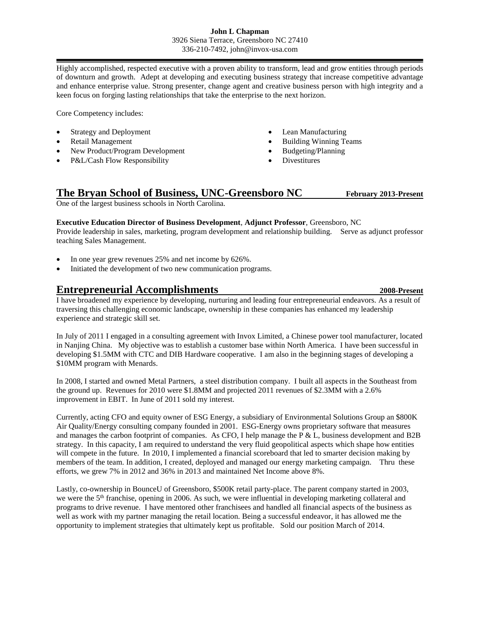### **John L Chapman** 3926 Siena Terrace, Greensboro NC 27410 336-210-7492, john@invox-usa.com

Highly accomplished, respected executive with a proven ability to transform, lead and grow entities through periods of downturn and growth. Adept at developing and executing business strategy that increase competitive advantage and enhance enterprise value. Strong presenter, change agent and creative business person with high integrity and a keen focus on forging lasting relationships that take the enterprise to the next horizon.

Core Competency includes:

- Strategy and Deployment
- Retail Management
- New Product/Program Development
- P&L/Cash Flow Responsibility
- Lean Manufacturing
- Building Winning Teams
- Budgeting/Planning
- Divestitures

# **The Bryan School of Business, UNC-Greensboro NC February 2013-Present**

One of the largest business schools in North Carolina.

**Executive Education Director of Business Development**, **Adjunct Professor**, Greensboro, NC

Provide leadership in sales, marketing, program development and relationship building. Serve as adjunct professor teaching Sales Management.

- In one year grew revenues 25% and net income by 626%.
- Initiated the development of two new communication programs.

# **Entrepreneurial Accomplishments 2008-Present**

I have broadened my experience by developing, nurturing and leading four entrepreneurial endeavors. As a result of traversing this challenging economic landscape, ownership in these companies has enhanced my leadership experience and strategic skill set.

In July of 2011 I engaged in a consulting agreement with Invox Limited, a Chinese power tool manufacturer, located in Nanjing China. My objective was to establish a customer base within North America. I have been successful in developing \$1.5MM with CTC and DIB Hardware cooperative. I am also in the beginning stages of developing a \$10MM program with Menards.

In 2008, I started and owned Metal Partners, a steel distribution company. I built all aspects in the Southeast from the ground up. Revenues for 2010 were \$1.8MM and projected 2011 revenues of \$2.3MM with a 2.6% improvement in EBIT. In June of 2011 sold my interest.

Currently, acting CFO and equity owner of ESG Energy, a subsidiary of Environmental Solutions Group an \$800K Air Quality/Energy consulting company founded in 2001. ESG-Energy owns proprietary software that measures and manages the carbon footprint of companies. As CFO, I help manage the P  $\&$  L, business development and B2B strategy. In this capacity, I am required to understand the very fluid geopolitical aspects which shape how entities will compete in the future. In 2010, I implemented a financial scoreboard that led to smarter decision making by members of the team. In addition, I created, deployed and managed our energy marketing campaign. Thru these efforts, we grew 7% in 2012 and 36% in 2013 and maintained Net Income above 8%.

Lastly, co-ownership in BounceU of Greensboro, \$500K retail party-place. The parent company started in 2003, we were the 5<sup>th</sup> franchise, opening in 2006. As such, we were influential in developing marketing collateral and programs to drive revenue. I have mentored other franchisees and handled all financial aspects of the business as well as work with my partner managing the retail location. Being a successful endeavor, it has allowed me the opportunity to implement strategies that ultimately kept us profitable. Sold our position March of 2014.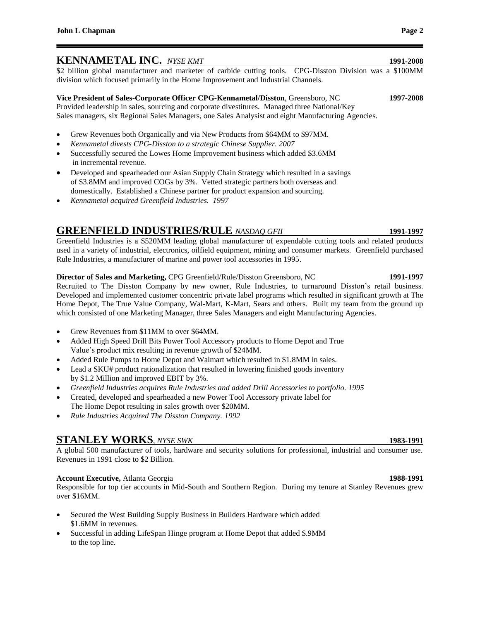## **KENNAMETAL INC.** *NYSE KMT* **1991-2008**

\$2 billion global manufacturer and marketer of carbide cutting tools. CPG-Disston Division was a \$100MM division which focused primarily in the Home Improvement and Industrial Channels.

### **Vice President of Sales-Corporate Officer CPG-Kennametal/Disston**, Greensboro, NC **1997-2008** Provided leadership in sales, sourcing and corporate divestitures. Managed three National/Key Sales managers, six Regional Sales Managers, one Sales Analysist and eight Manufacturing Agencies.

- Grew Revenues both Organically and via New Products from \$64MM to \$97MM.
- *Kennametal divests CPG-Disston to a strategic Chinese Supplier. 2007*
- Successfully secured the Lowes Home Improvement business which added \$3.6MM in incremental revenue.
- Developed and spearheaded our Asian Supply Chain Strategy which resulted in a savings of \$3.8MM and improved COGs by 3%. Vetted strategic partners both overseas and domestically. Established a Chinese partner for product expansion and sourcing.
- *Kennametal acquired Greenfield Industries. 1997*

# **GREENFIELD INDUSTRIES/RULE** *NASDAQ GFII* **1991-1997**

Greenfield Industries is a \$520MM leading global manufacturer of expendable cutting tools and related products used in a variety of industrial, electronics, oilfield equipment, mining and consumer markets. Greenfield purchased Rule Industries, a manufacturer of marine and power tool accessories in 1995.

### **Director of Sales and Marketing,** CPG Greenfield/Rule/Disston Greensboro, NC **1991-1997**

Recruited to The Disston Company by new owner, Rule Industries, to turnaround Disston's retail business. Developed and implemented customer concentric private label programs which resulted in significant growth at The Home Depot, The True Value Company, Wal-Mart, K-Mart, Sears and others. Built my team from the ground up which consisted of one Marketing Manager, three Sales Managers and eight Manufacturing Agencies.

- Grew Revenues from \$11MM to over \$64MM.
- Added High Speed Drill Bits Power Tool Accessory products to Home Depot and True Value's product mix resulting in revenue growth of \$24MM.
- Added Rule Pumps to Home Depot and Walmart which resulted in \$1.8MM in sales.
- Lead a SKU# product rationalization that resulted in lowering finished goods inventory by \$1.2 Million and improved EBIT by 3%.
- *Greenfield Industries acquires Rule Industries and added Drill Accessories to portfolio. 1995*
- Created, developed and spearheaded a new Power Tool Accessory private label for The Home Depot resulting in sales growth over \$20MM.
- *Rule Industries Acquired The Disston Company. 1992*

# **STANLEY WORKS**, *NYSE SWK* 1983-1991

A global 500 manufacturer of tools, hardware and security solutions for professional, industrial and consumer use. Revenues in 1991 close to \$2 Billion.

### **Account Executive,** Atlanta Georgia **1988-1991**

Responsible for top tier accounts in Mid-South and Southern Region. During my tenure at Stanley Revenues grew over \$16MM.

- Secured the West Building Supply Business in Builders Hardware which added \$1.6MM in revenues.
- Successful in adding LifeSpan Hinge program at Home Depot that added \$.9MM to the top line.